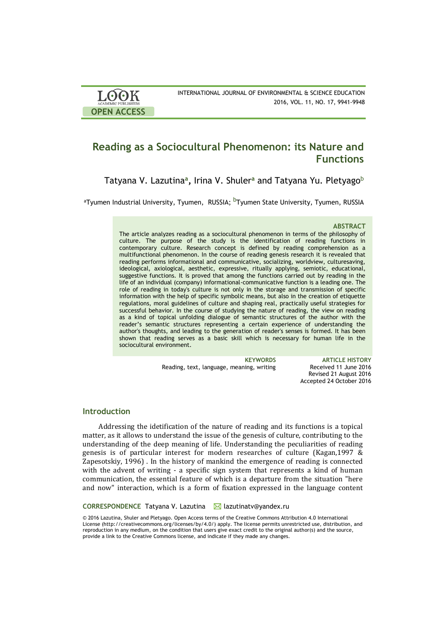| <b>LOOK</b>                | INTERNATIONAL JOURNAL OF ENVIRONMENTAL & SCIENCE EDUCATION |
|----------------------------|------------------------------------------------------------|
| <b>ACADEMIC PUBLISHERS</b> | 2016, VOL. 11, NO. 17, 9941-9948                           |
| <b>OPEN ACCESS</b>         |                                                            |

# **Reading as a Sociocultural Phenomenon: its Nature and Functions**

Tatyana V. Lazutina**<sup>a</sup> ,** Irina V. Shuler**<sup>a</sup>** and Tatyana Yu. Pletyago<sup>b</sup>

<sup>a</sup>Tyumen Industrial University, Tyumen,RUSSIA; <sup>b</sup>Tyumen State University, Tyumen, RUSSIA

#### **ABSTRACT**

The article analyzes reading as a sociocultural phenomenon in terms of the philosophy of culture. The purpose of the study is the identification of reading functions in contemporary culture. Research concept is defined by reading comprehension as a multifunctional phenomenon. In the course of reading genesis research it is revealed that reading performs informational and communicative, socializing, worldview, culturesaving, ideological, axiological, aesthetic, expressive, ritually applying, semiotic, educational, suggestive functions. It is proved that among the functions carried out by reading in the life of an individual (company) informational-communicative function is a leading one. The role of reading in today's culture is not only in the storage and transmission of specific information with the help of specific symbolic means, but also in the creation of etiquette regulations, moral guidelines of culture and shaping real, practically useful strategies for successful behavior. In the course of studying the nature of reading, the view on reading as a kind of topical unfolding dialogue of semantic structures of the author with the reader's semantic structures representing a certain experience of understanding the author's thoughts, and leading to the generation of reader's senses is formed. It has been shown that reading serves as a basic skill which is necessary for human life in the sociocultural environment.

Reading, text, language, meaning, writing Received 11 June 2016

**KEYWORDS ARTICLE HISTORY** Revised 21 August 2016 Accepted 24 October 2016

# **Introduction**

Addressing the idetification of the nature of reading and its functions is a topical matter, as it allows to understand the issue of the genesis of culture, contributing to the understanding of the deep meaning of life. Understanding the peculiarities of reading genesis is of particular interest for modern researches of culture (Kagan,1997 & Zapesotskiy, 1996) . In the history of mankind the emergence of reading is connected with the advent of writing - a specific sign system that represents a kind of human communication, the essential feature of which is a departure from the situation "here and now" interaction, which is a form of fixation expressed in the language content

**CORRESPONDENCE** Tatyana V. Lazutina **M** lazutinatv@yandex.ru

© 2016 Lazutina, Shuler and Pletyago. Open Access terms of the Creative Commons Attribution 4.0 International License (http://creativecommons.org/licenses/by/4.0/) apply. The license permits unrestricted use, distribution, and reproduction in any medium, on the condition that users give exact credit to the original author(s) and the source, provide a link to the Creative Commons license, and indicate if they made any changes.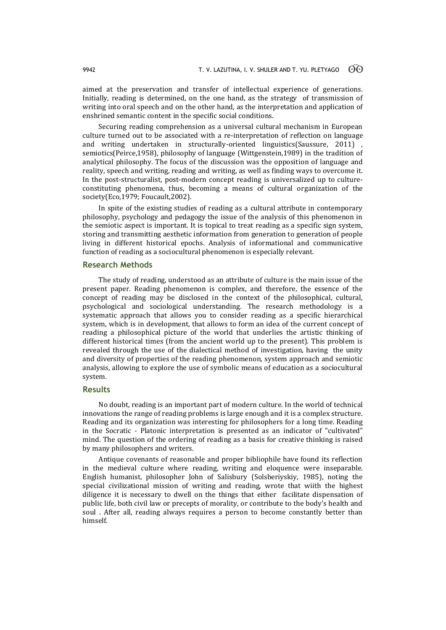aimed at the preservation and transfer of intellectual experience of generations. Initially, reading is determined, on the one hand, as the strategy of transmission of writing into oral speech and on the other hand, as the interpretation and application of enshrined semantic content in the specific social conditions.

Securing reading comprehension as a universal cultural mechanism in European culture turned out to be associated with a re-interpretation of reflection on language and writing undertaken in structurally-oriented linguistics(Saussure, 2011) semiotics(Peirce,1958), philosophy of language (Wittgenstein,1989) in the tradition of analytical philosophy. The focus of the discussion was the opposition of language and reality, speech and writing, reading and writing, as well as finding ways to overcome it. In the post-structuralist, post-modern concept reading is universalized up to cultureconstituting phenomena, thus, becoming a means of cultural organization of the society(Eco,1979; Foucault,2002).

In spite of the existing studies of reading as a cultural attribute in contemporary philosophy, psychology and pedagogy the issue of the analysis of this phenomenon in the semiotic aspect is important. It is topical to treat reading as a specific sign system, storing and transmitting aesthetic information from generation to generation of people living in different historical epochs. Analysis of informational and communicative function of reading as a sociocultural phenomenon is especially relevant.

### **Research Methods**

The study of reading, understood as an attribute of culture is the main issue of the present paper. Reading phenomenon is complex, and therefore, the essence of the concept of reading may be disclosed in the context of the philosophical, cultural, psychological and sociological understanding. The research methodology is a systematic approach that allows you to consider reading as a specific hierarchical system, which is in development, that allows to form an idea of the current concept of reading a philosophical picture of the world that underlies the artistic thinking of different historical times (from the ancient world up to the present). This problem is revealed through the use of the dialectical method of investigation, having the unity and diversity of properties of the reading phenomenon, system approach and semiotic analysis, allowing to explore the use of symbolic means of education as a sociocultural system.

# **Results**

No doubt, reading is an important part of modern culture. In the world of technical innovations the range of reading problems is large enough and it is a complex structure. Reading and its organization was interesting for philosophers for a long time. Reading in the Socratic - Platonic interpretation is presented as an indicator of "cultivated" mind. The question of the ordering of reading as a basis for creative thinking is raised by many philosophers and writers.

Antique covenants of reasonable and proper bibliophile have found its reflection in the medieval culture where reading, writing and eloquence were inseparable. English humanist, philosopher John of Salisbury (Solsberiyskiy, 1985), noting the special civilizational mission of writing and reading, wrote that wiith the highest diligence it is necessary to dwell on the things that either facilitate dispensation of public life, both civil law or precepts of morality, or contribute to the body's health and soul . After all, reading always requires a person to become constantly better than himself.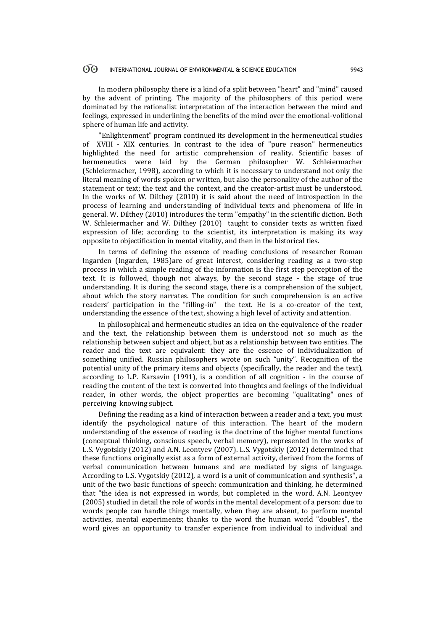#### $\odot$ INTERNATIONAL JOURNAL OF ENVIRONMENTAL & SCIENCE EDUCATION 9943

In modern philosophy there is a kind of a split between "heart" and "mind" caused by the advent of printing. The majority of the philosophers of this period were dominated by the rationalist interpretation of the interaction between the mind and feelings, expressed in underlining the benefits of the mind over the emotional-volitional sphere of human life and activity.

"Enlightenment" program continued its development in the hermeneutical studies of XVIII - XIX centuries. In contrast to the idea of "pure reason" hermeneutics highlighted the need for artistic comprehension of reality. Scientific bases of hermeneutics were laid by the German philosopher W. Schleiermacher (Schleiermacher, 1998), according to which it is necessary to understand not only the literal meaning of words spoken or written, but also the personality of the author of the statement or text; the text and the context, and the creator-artist must be understood. In the works of W. Dilthey (2010) it is said about the need of introspection in the process of learning and understanding of individual texts and phenomena of life in general. W. Dilthey (2010) introduces the term "empathy" in the scientific diction. Both W. Schleiermacher and W. Dilthey (2010) taught to consider texts as written fixed expression of life; according to the scientist, its interpretation is making its way opposite to objectification in mental vitality, and then in the historical ties.

In terms of defining the essence of reading conclusions of researcher Roman Ingarden (Ingarden, 1985)are of great interest, considering reading as a two-step process in which a simple reading of the information is the first step perception of the text. It is followed, though not always, by the second stage - the stage of true understanding. It is during the second stage, there is a comprehension of the subject, about which the story narrates. The condition for such comprehension is an active readers' participation in the "filling-in" the text. He is a co-creator of the text, understanding the essence of the text, showing a high level of activity and attention.

In philosophical and hermeneutic studies an idea on the equivalence of the reader and the text, the relationship between them is understood not so much as the relationship between subject and object, but as a relationship between two entities. The reader and the text are equivalent: they are the essence of individualization of something unified. Russian philosophers wrote on such "unity". Recognition of the potential unity of the primary items and objects (specifically, the reader and the text), according to L.P. Karsavin (1991), is a condition of all cognition - in the course of reading the content of the text is converted into thoughts and feelings of the individual reader, in other words, the object properties are becoming "qualitating" ones of perceiving knowing subject.

Defining the reading as a kind of interaction between a reader and a text, you must identify the psychological nature of this interaction. The heart of the modern understanding of the essence of reading is the doctrine of the higher mental functions (conceptual thinking, conscious speech, verbal memory), represented in the works of L.S. Vygotskiy (2012) and A.N. Leontyev (2007). L.S. Vygotskiy (2012) determined that these functions originally exist as a form of external activity, derived from the forms of verbal communication between humans and are mediated by signs of language. According to L.S. Vygotskiy (2012), a word is a unit of communication and synthesis", a unit of the two basic functions of speech: communication and thinking, he determined that "the idea is not expressed in words, but completed in the word. A.N. Leontyev (2005) studied in detail the role of words in the mental development of a person: due to words people can handle things mentally, when they are absent, to perform mental activities, mental experiments; thanks to the word the human world "doubles", the word gives an opportunity to transfer experience from individual to individual and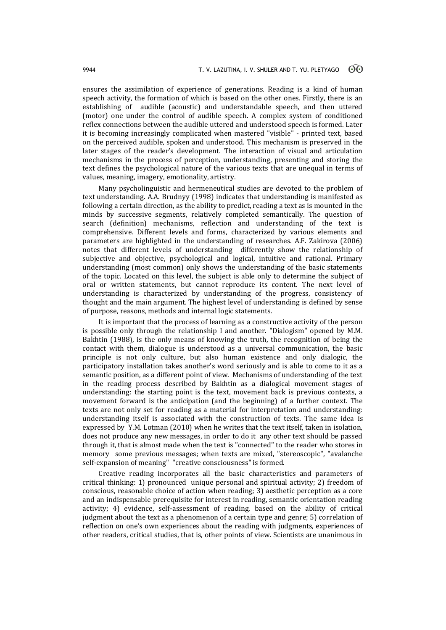ensures the assimilation of experience of generations. Reading is a kind of human speech activity, the formation of which is based on the other ones. Firstly, there is an establishing of audible (acoustic) and understandable speech, and then uttered (motor) one under the control of audible speech. A complex system of conditioned reflex connections between the audible uttered and understood speech is formed. Later it is becoming increasingly complicated when mastered "visible" - printed text, based on the perceived audible, spoken and understood. This mechanism is preserved in the later stages of the reader's development. The interaction of visual and articulation mechanisms in the process of perception, understanding, presenting and storing the text defines the psychological nature of the various texts that are unequal in terms of values, meaning, imagery, emotionality, artistry.

Many psycholinguistic and hermeneutical studies are devoted to the problem of text understanding. A.A. Brudnyy (1998) indicates that understanding is manifested as following a certain direction, as the ability to predict, reading a text as is mounted in the minds by successive segments, relatively completed semantically. The question of search (definition) mechanisms, reflection and understanding of the text is comprehensive. Different levels and forms, characterized by various elements and parameters are highlighted in the understanding of researches. A.F. Zakirova (2006) notes that different levels of understanding differently show the relationship of subjective and objective, psychological and logical, intuitive and rational. Primary understanding (most common) only shows the understanding of the basic statements of the topic. Located on this level, the subject is able only to determine the subject of oral or written statements, but cannot reproduce its content. The next level of understanding is characterized by understanding of the progress, consistency of thought and the main argument. The highest level of understanding is defined by sense of purpose, reasons, methods and internal logic statements.

It is important that the process of learning as a constructive activity of the person is possible only through the relationship I and another. "Dialogism" opened by M.M. Bakhtin (1988), is the only means of knowing the truth, the recognition of being the contact with them, dialogue is understood as a universal communication, the basic principle is not only culture, but also human existence and only dialogic, the participatory installation takes another's word seriously and is able to come to it as a semantic position, as a different point of view. Mechanisms of understanding of the text in the reading process described by Bakhtin as a dialogical movement stages of understanding: the starting point is the text, movement back is previous contexts, a movement forward is the anticipation (and the beginning) of a further context. The texts are not only set for reading as a material for interpretation and understanding: understanding itself is associated with the construction of texts. The same idea is expressed by Y.M. Lotman (2010) when he writes that the text itself, taken in isolation, does not produce any new messages, in order to do it any other text should be passed through it, that is almost made when the text is "connected" to the reader who stores in memory some previous messages; when texts are mixed, "stereoscopic", "avalanche self-expansion of meaning" "creative consciousness" is formed.

Creative reading incorporates all the basic characteristics and parameters of critical thinking: 1) pronounced unique personal and spiritual activity; 2) freedom of conscious, reasonable choice of action when reading; 3) aesthetic perception as a core and an indispensable prerequisite for interest in reading, semantic orientation reading activity; 4) evidence, self-assessment of reading, based on the ability of critical judgment about the text as a phenomenon of a certain type and genre; 5) correlation of reflection on one's own experiences about the reading with judgments, experiences of other readers, critical studies, that is, other points of view. Scientists are unanimous in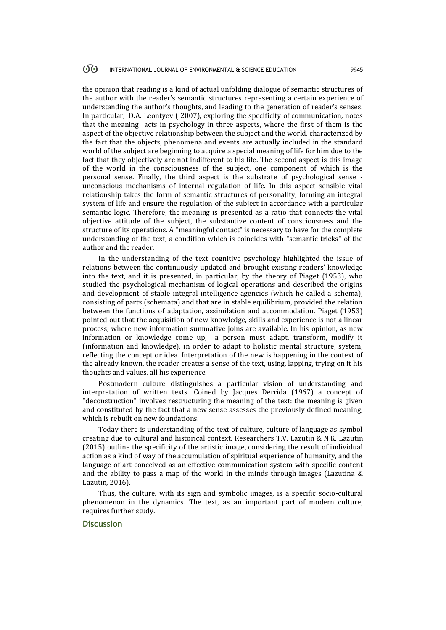#### $\odot$ INTERNATIONAL JOURNAL OF ENVIRONMENTAL & SCIENCE EDUCATION 9945

the opinion that reading is a kind of actual unfolding dialogue of semantic structures of the author with the reader's semantic structures representing a certain experience of understanding the author's thoughts, and leading to the generation of reader's senses. In particular, D.A. Leontyev ( 2007), exploring the specificity of communication, notes that the meaning acts in psychology in three aspects, where the first of them is the aspect of the objective relationship between the subject and the world, characterized by the fact that the objects, phenomena and events are actually included in the standard world of the subject are beginning to acquire a special meaning of life for him due to the fact that they objectively are not indifferent to his life. The second aspect is this image of the world in the consciousness of the subject, one component of which is the personal sense. Finally, the third aspect is the substrate of psychological sense unconscious mechanisms of internal regulation of life. In this aspect sensible vital relationship takes the form of semantic structures of personality, forming an integral system of life and ensure the regulation of the subject in accordance with a particular semantic logic. Therefore, the meaning is presented as a ratio that connects the vital objective attitude of the subject, the substantive content of consciousness and the structure of its operations. A "meaningful contact" is necessary to have for the complete understanding of the text, a condition which is coincides with "semantic tricks" of the author and the reader.

In the understanding of the text cognitive psychology highlighted the issue of relations between the continuously updated and brought existing readers' knowledge into the text, and it is presented, in particular, by the theory of Piaget (1953), who studied the psychological mechanism of logical operations and described the origins and development of stable integral intelligence agencies (which he called a schema), consisting of parts (schemata) and that are in stable equilibrium, provided the relation between the functions of adaptation, assimilation and accommodation. Piaget (1953) pointed out that the acquisition of new knowledge, skills and experience is not a linear process, where new information summative joins are available. In his opinion, as new information or knowledge come up, a person must adapt, transform, modify it (information and knowledge), in order to adapt to holistic mental structure, system, reflecting the concept or idea. Interpretation of the new is happening in the context of the already known, the reader creates a sense of the text, using, lapping, trying on it his thoughts and values, all his experience.

Postmodern culture distinguishes a particular vision of understanding and interpretation of written texts. Coined by Jacques Derrida (1967) a concept of "deconstruction" involves restructuring the meaning of the text: the meaning is given and constituted by the fact that a new sense assesses the previously defined meaning, which is rebuilt on new foundations.

Today there is understanding of the text of culture, culture of language as symbol creating due to cultural and historical context. Researchers T.V. Lazutin & N.K. Lazutin (2015) outline the specificity of the artistic image, considering the result of individual action as a kind of way of the accumulation of spiritual experience of humanity, and the language of art conceived as an effective communication system with specific content and the ability to pass a map of the world in the minds through images (Lazutina & Lazutin, 2016).

Thus, the culture, with its sign and symbolic images, is a specific socio-cultural phenomenon in the dynamics. The text, as an important part of modern culture, requires further study.

### **Discussion**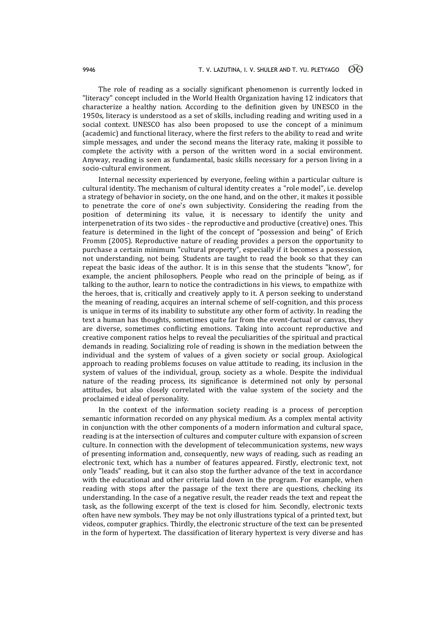The role of reading as a socially significant phenomenon is currently locked in "literacy" concept included in the World Health Organization having 12 indicators that characterize a healthy nation. According to the definition given by UNESCO in the 1950s, literacy is understood as a set of skills, including reading and writing used in a social context. UNESCO has also been proposed to use the concept of a minimum (academic) and functional literacy, where the first refers to the ability to read and write simple messages, and under the second means the literacy rate, making it possible to complete the activity with a person of the written word in a social environment. Anyway, reading is seen as fundamental, basic skills necessary for a person living in a socio-cultural environment.

Internal necessity experienced by everyone, feeling within a particular culture is cultural identity. The mechanism of cultural identity creates a "role model", i.e. develop a strategy of behavior in society, on the one hand, and on the other, it makes it possible to penetrate the core of one's own subjectivity. Considering the reading from the position of determining its value, it is necessary to identify the unity and interpenetration of its two sides - the reproductive and productive (creative) ones. This feature is determined in the light of the concept of "possession and being" of Erich Fromm (2005). Reproductive nature of reading provides a person the opportunity to purchase a certain minimum "cultural property", especially if it becomes a possession, not understanding, not being. Students are taught to read the book so that they can repeat the basic ideas of the author. It is in this sense that the students "know", for example, the ancient philosophers. People who read on the principle of being, as if talking to the author, learn to notice the contradictions in his views, to empathize with the heroes, that is, critically and creatively apply to it. A person seeking to understand the meaning of reading, acquires an internal scheme of self-cognition, and this process is unique in terms of its inability to substitute any other form of activity. In reading the text a human has thoughts, sometimes quite far from the event-factual or canvas, they are diverse, sometimes conflicting emotions. Taking into account reproductive and creative component ratios helps to reveal the peculiarities of the spiritual and practical demands in reading. Socializing role of reading is shown in the mediation between the individual and the system of values of a given society or social group. Axiological approach to reading problems focuses on value attitude to reading, its inclusion in the system of values of the individual, group, society as a whole. Despite the individual nature of the reading process, its significance is determined not only by personal attitudes, but also closely correlated with the value system of the society and the proclaimed e ideal of personality.

In the context of the information society reading is a process of perception semantic information recorded on any physical medium. As a complex mental activity in conjunction with the other components of a modern information and cultural space, reading is at the intersection of cultures and computer culture with expansion of screen culture. In connection with the development of telecommunication systems, new ways of presenting information and, consequently, new ways of reading, such as reading an electronic text, which has a number of features appeared. Firstly, electronic text, not only "leads" reading, but it can also stop the further advance of the text in accordance with the educational and other criteria laid down in the program. For example, when reading with stops after the passage of the text there are questions, checking its understanding. In the case of a negative result, the reader reads the text and repeat the task, as the following excerpt of the text is closed for him. Secondly, electronic texts often have new symbols. They may be not only illustrations typical of a printed text, but videos, computer graphics. Thirdly, the electronic structure of the text can be presented in the form of hypertext. The classification of literary hypertext is very diverse and has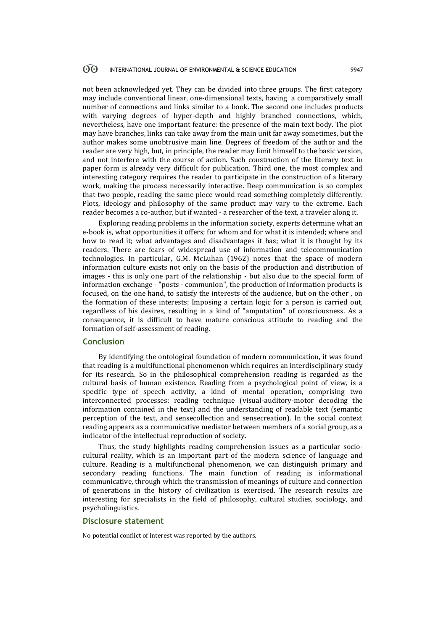#### 60 INTERNATIONAL JOURNAL OF ENVIRONMENTAL & SCIENCE EDUCATION 9947

not been acknowledged yet. They can be divided into three groups. The first category may include conventional linear, one-dimensional texts, having a comparatively small number of connections and links similar to a book. The second one includes products with varying degrees of hyper-depth and highly branched connections, which, nevertheless, have one important feature: the presence of the main text body. The plot may have branches, links can take away from the main unit far away sometimes, but the author makes some unobtrusive main line. Degrees of freedom of the author and the reader are very high, but, in principle, the reader may limit himself to the basic version, and not interfere with the course of action. Such construction of the literary text in paper form is already very difficult for publication. Third one, the most complex and interesting category requires the reader to participate in the construction of a literary work, making the process necessarily interactive. Deep communication is so complex that two people, reading the same piece would read something completely differently. Plots, ideology and philosophy of the same product may vary to the extreme. Each reader becomes a co-author, but if wanted - a researcher of the text, a traveler along it.

Exploring reading problems in the information society, experts determine what an e-book is, what opportunities it offers; for whom and for what it is intended; where and how to read it; what advantages and disadvantages it has; what it is thought by its readers. There are fears of widespread use of information and telecommunication technologies. In particular, G.M. McLuhan (1962) notes that the space of modern information culture exists not only on the basis of the production and distribution of images - this is only one part of the relationship - but also due to the special form of information exchange - "posts - communion", the production of information products is focused, on the one hand, to satisfy the interests of the audience, but on the other , on the formation of these interests; Imposing a certain logic for a person is carried out, regardless of his desires, resulting in a kind of "amputation" of consciousness. As a consequence, it is difficult to have mature conscious attitude to reading and the formation of self-assessment of reading.

# **Conclusion**

By identifying the ontological foundation of modern communication, it was found that reading is a multifunctional phenomenon which requires an interdisciplinary study for its research. So in the philosophical comprehension reading is regarded as the cultural basis of human existence. Reading from a psychological point of view, is a specific type of speech activity, a kind of mental operation, comprising two interconnected processes: reading technique (visual-auditory-motor decoding the information contained in the text) and the understanding of readable text (semantic perception of the text, and sensecollection and sensecreation). In the social context reading appears as a communicative mediator between members of a social group, as a indicator of the intellectual reproduction of society.

Thus, the study highlights reading comprehension issues as a particular sociocultural reality, which is an important part of the modern science of language and culture. Reading is a multifunctional phenomenon, we can distinguish primary and secondary reading functions. The main function of reading is informational communicative, through which the transmission of meanings of culture and connection of generations in the history of civilization is exercised. The research results are interesting for specialists in the field of philosophy, cultural studies, sociology, and psycholinguistics.

# **Disclosure statement**

No potential conflict of interest was reported by the authors.